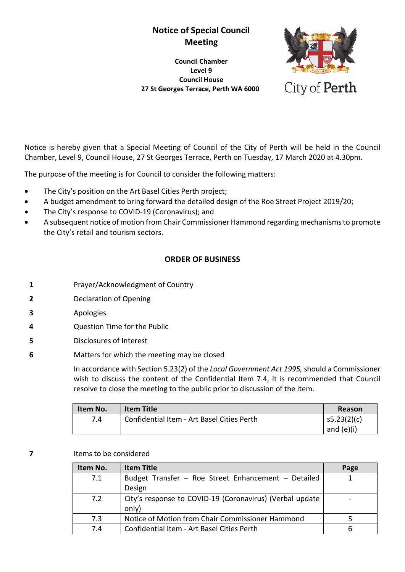# **Notice of Special Council Meeting**

**Council Chamber Level 9 Council House 27 St Georges Terrace, Perth WA 6000**



Notice is hereby given that a Special Meeting of Council of the City of Perth will be held in the Council Chamber, Level 9, Council House, 27 St Georges Terrace, Perth on Tuesday, 17 March 2020 at 4.30pm.

The purpose of the meeting is for Council to consider the following matters:

- The City's position on the Art Basel Cities Perth project;
- A budget amendment to bring forward the detailed design of the Roe Street Project 2019/20;
- The City's response to COVID-19 (Coronavirus); and
- A subsequent notice of motion from Chair Commissioner Hammond regarding mechanisms to promote the City's retail and tourism sectors.

#### **ORDER OF BUSINESS**

- **1** Prayer/Acknowledgment of Country
- **2** Declaration of Opening
- **3** Apologies
- **4** Question Time for the Public
- **5** Disclosures of Interest
- **6** Matters for which the meeting may be closed

In accordance with Section 5.23(2) of the *Local Government Act 1995,* should a Commissioner wish to discuss the content of the Confidential Item 7.4, it is recommended that Council resolve to close the meeting to the public prior to discussion of the item.

| Item No. | Item Title                                 | Reason       |
|----------|--------------------------------------------|--------------|
| 7.4      | Confidential Item - Art Basel Cities Perth | s5.23(2)(c)  |
|          |                                            | and $(e)(i)$ |

#### **7** Items to be considered

| Item No. | <b>Item Title</b>                                        | Page |
|----------|----------------------------------------------------------|------|
| 7.1      | Budget Transfer - Roe Street Enhancement - Detailed      |      |
|          | Design                                                   |      |
| 7.2      | City's response to COVID-19 (Coronavirus) (Verbal update |      |
|          | only)                                                    |      |
| 7.3      | Notice of Motion from Chair Commissioner Hammond         |      |
| 7.4      | Confidential Item - Art Basel Cities Perth               |      |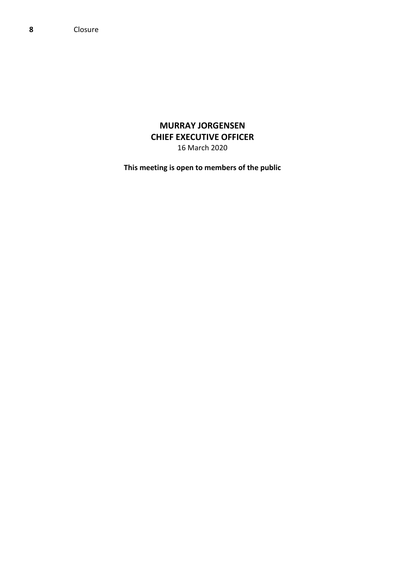**8** Closure

## **MURRAY JORGENSEN CHIEF EXECUTIVE OFFICER** 16 March 2020

**This meeting is open to members of the public**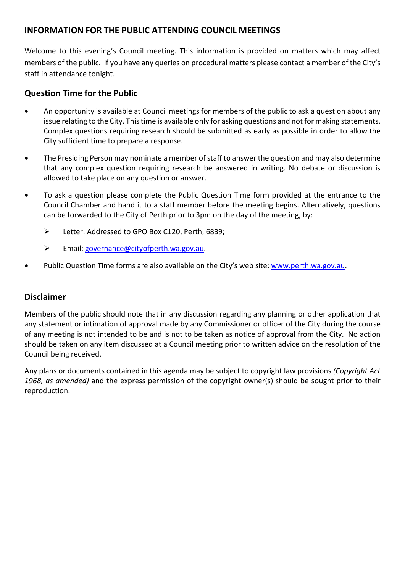## **INFORMATION FOR THE PUBLIC ATTENDING COUNCIL MEETINGS**

Welcome to this evening's Council meeting. This information is provided on matters which may affect members of the public. If you have any queries on procedural matters please contact a member of the City's staff in attendance tonight.

## **Question Time for the Public**

- An opportunity is available at Council meetings for members of the public to ask a question about any issue relating to the City. This time is available only for asking questions and not for making statements. Complex questions requiring research should be submitted as early as possible in order to allow the City sufficient time to prepare a response.
- The Presiding Person may nominate a member of staff to answer the question and may also determine that any complex question requiring research be answered in writing. No debate or discussion is allowed to take place on any question or answer.
- To ask a question please complete the Public Question Time form provided at the entrance to the Council Chamber and hand it to a staff member before the meeting begins. Alternatively, questions can be forwarded to the City of Perth prior to 3pm on the day of the meeting, by:
	- Eletter: Addressed to GPO Box C120, Perth, 6839;
	- Email: [governance@cityofperth.wa.gov.au.](mailto:governance@cityofperth.wa.gov.au)
- Public Question Time forms are also available on the City's web site[: www.perth.wa.gov.au.](http://www.perth.wa.gov.au/)

## **Disclaimer**

Members of the public should note that in any discussion regarding any planning or other application that any statement or intimation of approval made by any Commissioner or officer of the City during the course of any meeting is not intended to be and is not to be taken as notice of approval from the City. No action should be taken on any item discussed at a Council meeting prior to written advice on the resolution of the Council being received.

Any plans or documents contained in this agenda may be subject to copyright law provisions *(Copyright Act 1968, as amended)* and the express permission of the copyright owner(s) should be sought prior to their reproduction.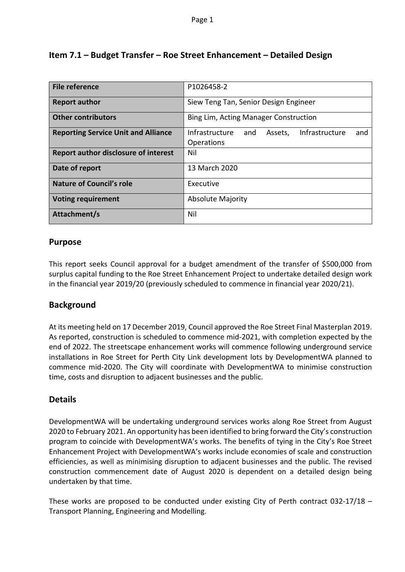| <b>File reference</b>                       | P1026458-2                                                              |  |
|---------------------------------------------|-------------------------------------------------------------------------|--|
| <b>Report author</b>                        | Siew Teng Tan, Senior Design Engineer                                   |  |
| <b>Other contributors</b>                   | Bing Lim, Acting Manager Construction                                   |  |
| <b>Reporting Service Unit and Alliance</b>  | Infrastructure<br>Infrastructure<br>and<br>Assets,<br>and<br>Operations |  |
| <b>Report author disclosure of interest</b> | Nil                                                                     |  |
| Date of report                              | 13 March 2020                                                           |  |
| <b>Nature of Council's role</b>             | Executive                                                               |  |
| <b>Voting requirement</b>                   | <b>Absolute Majority</b>                                                |  |
| Attachment/s                                | Nil                                                                     |  |

## **Item 7.1 – Budget Transfer – Roe Street Enhancement – Detailed Design**

### **Purpose**

This report seeks Council approval for a budget amendment of the transfer of \$500,000 from surplus capital funding to the Roe Street Enhancement Project to undertake detailed design work in the financial year 2019/20 (previously scheduled to commence in financial year 2020/21).

### **Background**

At its meeting held on 17 December 2019, Council approved the Roe Street Final Masterplan 2019. As reported, construction is scheduled to commence mid-2021, with completion expected by the end of 2022. The streetscape enhancement works will commence following underground service installations in Roe Street for Perth City Link development lots by DevelopmentWA planned to commence mid-2020. The City will coordinate with DevelopmentWA to minimise construction time, costs and disruption to adjacent businesses and the public.

### **Details**

DevelopmentWA will be undertaking underground services works along Roe Street from August 2020 to February 2021. An opportunity has been identified to bring forward the City's construction program to coincide with DevelopmentWA's works. The benefits of tying in the City's Roe Street Enhancement Project with DevelopmentWA's works include economies of scale and construction efficiencies, as well as minimising disruption to adjacent businesses and the public. The revised construction commencement date of August 2020 is dependent on a detailed design being undertaken by that time.

These works are proposed to be conducted under existing City of Perth contract 032-17/18 – Transport Planning, Engineering and Modelling.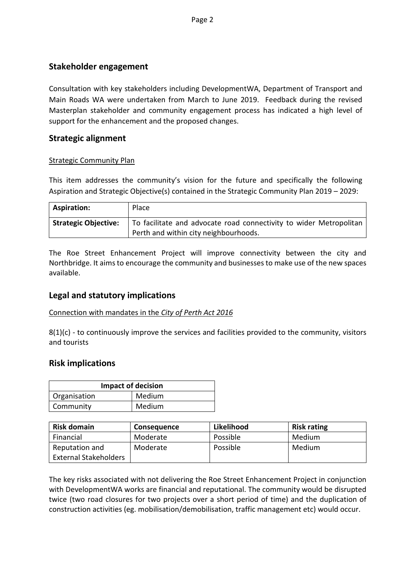## **Stakeholder engagement**

Consultation with key stakeholders including DevelopmentWA, Department of Transport and Main Roads WA were undertaken from March to June 2019. Feedback during the revised Masterplan stakeholder and community engagement process has indicated a high level of support for the enhancement and the proposed changes.

### **Strategic alignment**

#### Strategic Community Plan

This item addresses the community's vision for the future and specifically the following Aspiration and Strategic Objective(s) contained in the Strategic Community Plan 2019 – 2029:

| <b>Aspiration:</b>          | Place                                                              |
|-----------------------------|--------------------------------------------------------------------|
| <b>Strategic Objective:</b> | To facilitate and advocate road connectivity to wider Metropolitan |
|                             | Perth and within city neighbourhoods.                              |

The Roe Street Enhancement Project will improve connectivity between the city and Northbridge. It aims to encourage the community and businesses to make use of the new spaces available.

### **Legal and statutory implications**

#### Connection with mandates in the *City of Perth Act 2016*

8(1)(c) - to continuously improve the services and facilities provided to the community, visitors and tourists

### **Risk implications**

| Impact of decision |        |  |
|--------------------|--------|--|
| Organisation       | Medium |  |
| Community          | Medium |  |

| <b>Risk domain</b>           | <b>Consequence</b> | Likelihood | <b>Risk rating</b> |
|------------------------------|--------------------|------------|--------------------|
| Financial                    | Moderate           | Possible   | Medium             |
| Reputation and               | Moderate           | Possible   | Medium             |
| <b>External Stakeholders</b> |                    |            |                    |

The key risks associated with not delivering the Roe Street Enhancement Project in conjunction with DevelopmentWA works are financial and reputational. The community would be disrupted twice (two road closures for two projects over a short period of time) and the duplication of construction activities (eg. mobilisation/demobilisation, traffic management etc) would occur.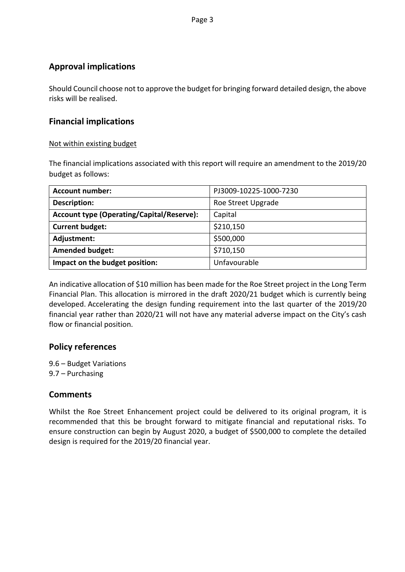## **Approval implications**

Should Council choose not to approve the budget for bringing forward detailed design, the above risks will be realised.

### **Financial implications**

#### Not within existing budget

The financial implications associated with this report will require an amendment to the 2019/20 budget as follows:

| <b>Account number:</b>                           | PJ3009-10225-1000-7230 |
|--------------------------------------------------|------------------------|
| <b>Description:</b>                              | Roe Street Upgrade     |
| <b>Account type (Operating/Capital/Reserve):</b> | Capital                |
| <b>Current budget:</b>                           | \$210,150              |
| Adjustment:                                      | \$500,000              |
| <b>Amended budget:</b>                           | \$710,150              |
| Impact on the budget position:                   | Unfavourable           |

An indicative allocation of \$10 million has been made for the Roe Street project in the Long Term Financial Plan. This allocation is mirrored in the draft 2020/21 budget which is currently being developed. Accelerating the design funding requirement into the last quarter of the 2019/20 financial year rather than 2020/21 will not have any material adverse impact on the City's cash flow or financial position.

### **Policy references**

9.6 – Budget Variations 9.7 – Purchasing

### **Comments**

Whilst the Roe Street Enhancement project could be delivered to its original program, it is recommended that this be brought forward to mitigate financial and reputational risks. To ensure construction can begin by August 2020, a budget of \$500,000 to complete the detailed design is required for the 2019/20 financial year.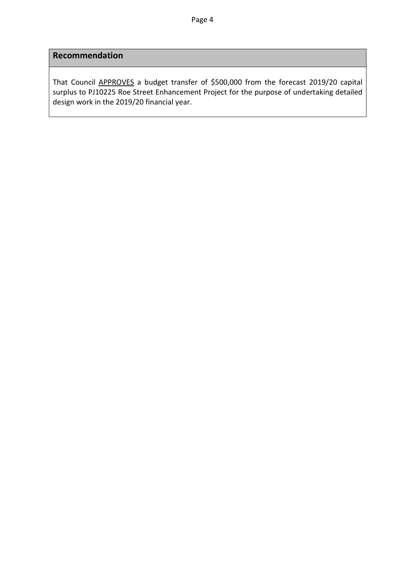# **Recommendation**

That Council APPROVES a budget transfer of \$500,000 from the forecast 2019/20 capital surplus to PJ10225 Roe Street Enhancement Project for the purpose of undertaking detailed design work in the 2019/20 financial year.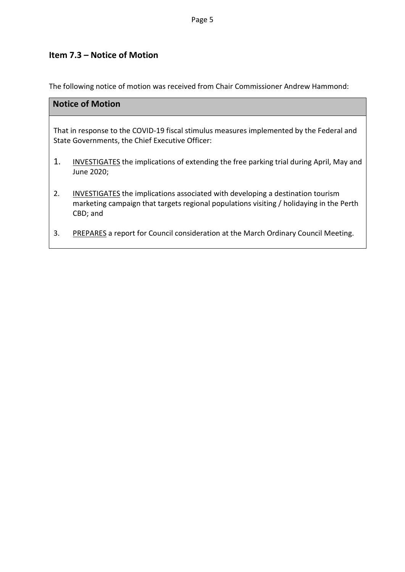# **Item 7.3 – Notice of Motion**

The following notice of motion was received from Chair Commissioner Andrew Hammond:

| <b>Notice of Motion</b> |                                                                                                                                                                                       |  |
|-------------------------|---------------------------------------------------------------------------------------------------------------------------------------------------------------------------------------|--|
|                         | That in response to the COVID-19 fiscal stimulus measures implemented by the Federal and<br>State Governments, the Chief Executive Officer:                                           |  |
| 1.                      | INVESTIGATES the implications of extending the free parking trial during April, May and<br>June 2020;                                                                                 |  |
| 2.                      | INVESTIGATES the implications associated with developing a destination tourism<br>marketing campaign that targets regional populations visiting / holidaying in the Perth<br>CBD; and |  |

3. PREPARES a report for Council consideration at the March Ordinary Council Meeting.